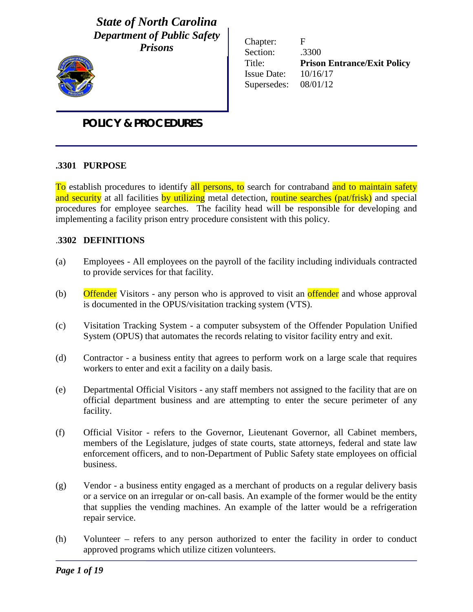*State of North Carolina Department of Public Safety Prisons*

Chapter: F Section: .3300 Title: **Prison Entrance/Exit Policy** Issue Date: 10/16/17 Supersedes: 08/01/12

# *POLICY & PROCEDURES*

### **.3301 PURPOSE**

To establish procedures to identify all persons, to search for contraband and to maintain safety and security at all facilities by utilizing metal detection, routine searches (pat/frisk) and special procedures for employee searches. The facility head will be responsible for developing and implementing a facility prison entry procedure consistent with this policy.

### .**3302 DEFINITIONS**

- (a) Employees All employees on the payroll of the facility including individuals contracted to provide services for that facility.
- (b) Offender Visitors any person who is approved to visit an offender and whose approval is documented in the OPUS/visitation tracking system (VTS).
- (c) Visitation Tracking System a computer subsystem of the Offender Population Unified System (OPUS) that automates the records relating to visitor facility entry and exit.
- (d) Contractor a business entity that agrees to perform work on a large scale that requires workers to enter and exit a facility on a daily basis.
- (e) Departmental Official Visitors any staff members not assigned to the facility that are on official department business and are attempting to enter the secure perimeter of any facility.
- (f) Official Visitor refers to the Governor, Lieutenant Governor, all Cabinet members, members of the Legislature, judges of state courts, state attorneys, federal and state law enforcement officers, and to non-Department of Public Safety state employees on official business.
- (g) Vendor a business entity engaged as a merchant of products on a regular delivery basis or a service on an irregular or on-call basis. An example of the former would be the entity that supplies the vending machines. An example of the latter would be a refrigeration repair service.
- (h) Volunteer refers to any person authorized to enter the facility in order to conduct approved programs which utilize citizen volunteers.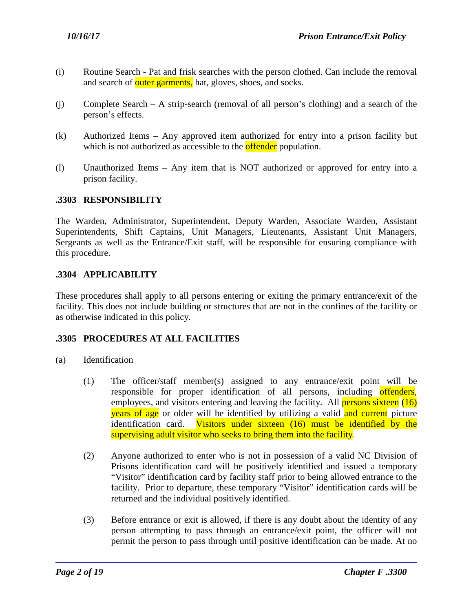- (i) Routine Search Pat and frisk searches with the person clothed. Can include the removal and search of outer garments, hat, gloves, shoes, and socks.
- (j) Complete Search A strip-search (removal of all person's clothing) and a search of the person's effects.
- (k) Authorized Items Any approved item authorized for entry into a prison facility but which is not authorized as accessible to the **offender** population.
- (l) Unauthorized Items Any item that is NOT authorized or approved for entry into a prison facility.

### **.3303 RESPONSIBILITY**

The Warden, Administrator, Superintendent, Deputy Warden, Associate Warden, Assistant Superintendents, Shift Captains, Unit Managers, Lieutenants, Assistant Unit Managers, Sergeants as well as the Entrance/Exit staff, will be responsible for ensuring compliance with this procedure.

### **.3304 APPLICABILITY**

These procedures shall apply to all persons entering or exiting the primary entrance/exit of the facility. This does not include building or structures that are not in the confines of the facility or as otherwise indicated in this policy.

# **.3305 PROCEDURES AT ALL FACILITIES**

- (a) Identification
	- (1) The officer/staff member(s) assigned to any entrance/exit point will be responsible for proper identification of all persons, including offenders, employees, and visitors entering and leaving the facility. All **persons sixteen** (16) years of age or older will be identified by utilizing a valid and current picture identification card. Visitors under sixteen (16) must be identified by the supervising adult visitor who seeks to bring them into the facility.
	- (2) Anyone authorized to enter who is not in possession of a valid NC Division of Prisons identification card will be positively identified and issued a temporary "Visitor" identification card by facility staff prior to being allowed entrance to the facility. Prior to departure, these temporary "Visitor" identification cards will be returned and the individual positively identified.
	- (3) Before entrance or exit is allowed, if there is any doubt about the identity of any person attempting to pass through an entrance/exit point, the officer will not permit the person to pass through until positive identification can be made. At no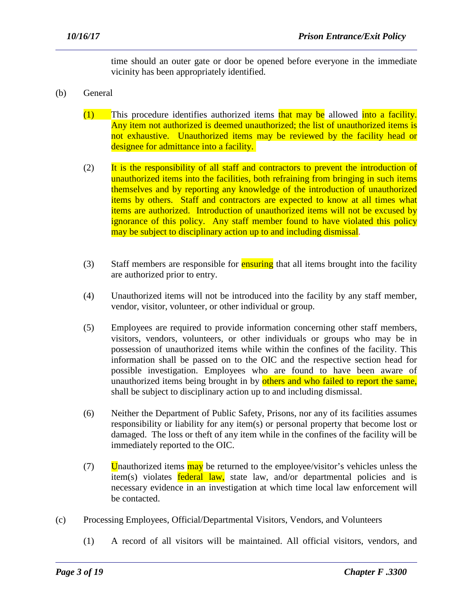time should an outer gate or door be opened before everyone in the immediate vicinity has been appropriately identified.

- (b) General
	- $(1)$  This procedure identifies authorized items that may be allowed into a facility. Any item not authorized is deemed unauthorized; the list of unauthorized items is not exhaustive. Unauthorized items may be reviewed by the facility head or designee for admittance into a facility.
	- (2) It is the responsibility of all staff and contractors to prevent the introduction of unauthorized items into the facilities, both refraining from bringing in such items themselves and by reporting any knowledge of the introduction of unauthorized items by others. Staff and contractors are expected to know at all times what items are authorized. Introduction of unauthorized items will not be excused by ignorance of this policy. Any staff member found to have violated this policy may be subject to disciplinary action up to and including dismissal.
	- (3) Staff members are responsible for **ensuring** that all items brought into the facility are authorized prior to entry.
	- (4) Unauthorized items will not be introduced into the facility by any staff member, vendor, visitor, volunteer, or other individual or group.
	- (5) Employees are required to provide information concerning other staff members, visitors, vendors, volunteers, or other individuals or groups who may be in possession of unauthorized items while within the confines of the facility. This information shall be passed on to the OIC and the respective section head for possible investigation. Employees who are found to have been aware of unauthorized items being brought in by others and who failed to report the same, shall be subject to disciplinary action up to and including dismissal.
	- (6) Neither the Department of Public Safety, Prisons, nor any of its facilities assumes responsibility or liability for any item(s) or personal property that become lost or damaged. The loss or theft of any item while in the confines of the facility will be immediately reported to the OIC.
	- (7) Unauthorized items  $\frac{\text{may}}{\text{day}}$  be returned to the employee/visitor's vehicles unless the item(s) violates **federal law**, state law, and/or departmental policies and is necessary evidence in an investigation at which time local law enforcement will be contacted.
- (c) Processing Employees, Official/Departmental Visitors, Vendors, and Volunteers

(1) A record of all visitors will be maintained. All official visitors, vendors, and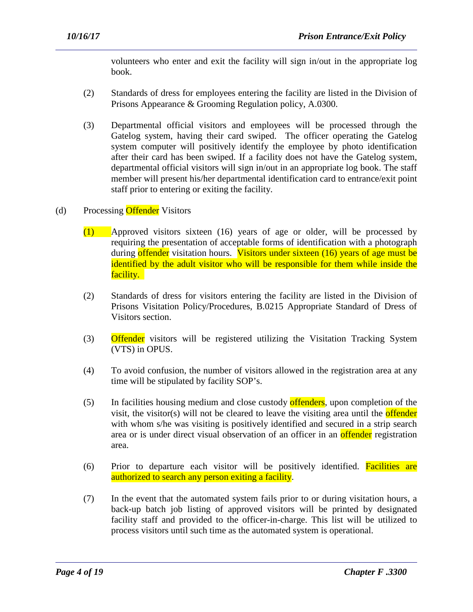volunteers who enter and exit the facility will sign in/out in the appropriate log book.

- (2) Standards of dress for employees entering the facility are listed in the Division of Prisons Appearance & Grooming Regulation policy, A.0300.
- (3) Departmental official visitors and employees will be processed through the Gatelog system, having their card swiped. The officer operating the Gatelog system computer will positively identify the employee by photo identification after their card has been swiped. If a facility does not have the Gatelog system, departmental official visitors will sign in/out in an appropriate log book. The staff member will present his/her departmental identification card to entrance/exit point staff prior to entering or exiting the facility.
- (d) Processing Offender Visitors
	- (1) Approved visitors sixteen (16) years of age or older, will be processed by requiring the presentation of acceptable forms of identification with a photograph during offender visitation hours. Visitors under sixteen (16) years of age must be identified by the adult visitor who will be responsible for them while inside the facility.
	- (2) Standards of dress for visitors entering the facility are listed in the Division of Prisons Visitation Policy/Procedures, B.0215 Appropriate Standard of Dress of Visitors section.
	- (3) Offender visitors will be registered utilizing the Visitation Tracking System (VTS) in OPUS.
	- (4) To avoid confusion, the number of visitors allowed in the registration area at any time will be stipulated by facility SOP's.
	- (5) In facilities housing medium and close custody offenders, upon completion of the visit, the visitor(s) will not be cleared to leave the visiting area until the **offender** with whom s/he was visiting is positively identified and secured in a strip search area or is under direct visual observation of an officer in an **offender** registration area.
	- (6) Prior to departure each visitor will be positively identified. Facilities are authorized to search any person exiting a facility.
	- (7) In the event that the automated system fails prior to or during visitation hours, a back-up batch job listing of approved visitors will be printed by designated facility staff and provided to the officer-in-charge. This list will be utilized to process visitors until such time as the automated system is operational.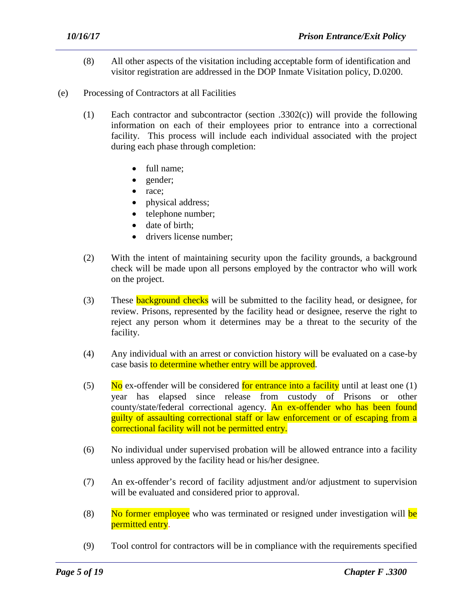- (8) All other aspects of the visitation including acceptable form of identification and visitor registration are addressed in the DOP Inmate Visitation policy, D.0200.
- (e) Processing of Contractors at all Facilities
	- (1) Each contractor and subcontractor (section .3302(c)) will provide the following information on each of their employees prior to entrance into a correctional facility. This process will include each individual associated with the project during each phase through completion:
		- full name:
		- gender;
		- race;
		- physical address;
		- telephone number;
		- date of birth:
		- drivers license number:
	- (2) With the intent of maintaining security upon the facility grounds, a background check will be made upon all persons employed by the contractor who will work on the project.
	- (3) These **background checks** will be submitted to the facility head, or designee, for review. Prisons, represented by the facility head or designee, reserve the right to reject any person whom it determines may be a threat to the security of the facility.
	- (4) Any individual with an arrest or conviction history will be evaluated on a case-by case basis to determine whether entry will be approved.
	- (5) No ex-offender will be considered for entrance into a facility until at least one  $(1)$ year has elapsed since release from custody of Prisons or other county/state/federal correctional agency. An ex-offender who has been found guilty of assaulting correctional staff or law enforcement or of escaping from a correctional facility will not be permitted entry.
	- (6) No individual under supervised probation will be allowed entrance into a facility unless approved by the facility head or his/her designee.
	- (7) An ex-offender's record of facility adjustment and/or adjustment to supervision will be evaluated and considered prior to approval.
	- (8) No former employee who was terminated or resigned under investigation will be permitted entry.
	- (9) Tool control for contractors will be in compliance with the requirements specified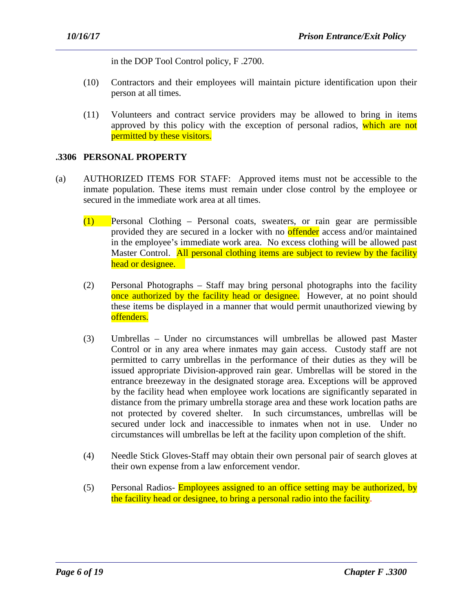in the DOP Tool Control policy, F .2700.

- (10) Contractors and their employees will maintain picture identification upon their person at all times.
- (11) Volunteers and contract service providers may be allowed to bring in items approved by this policy with the exception of personal radios, which are not permitted by these visitors.

### **.3306 PERSONAL PROPERTY**

- (a) AUTHORIZED ITEMS FOR STAFF: Approved items must not be accessible to the inmate population. These items must remain under close control by the employee or secured in the immediate work area at all times.
	- (1) Personal Clothing Personal coats, sweaters, or rain gear are permissible provided they are secured in a locker with no **offender** access and/or maintained in the employee's immediate work area. No excess clothing will be allowed past Master Control. All personal clothing items are subject to review by the facility head or designee.
	- (2) Personal Photographs Staff may bring personal photographs into the facility once authorized by the facility head or designee. However, at no point should these items be displayed in a manner that would permit unauthorized viewing by offenders.
	- (3) Umbrellas Under no circumstances will umbrellas be allowed past Master Control or in any area where inmates may gain access. Custody staff are not permitted to carry umbrellas in the performance of their duties as they will be issued appropriate Division-approved rain gear. Umbrellas will be stored in the entrance breezeway in the designated storage area. Exceptions will be approved by the facility head when employee work locations are significantly separated in distance from the primary umbrella storage area and these work location paths are not protected by covered shelter. In such circumstances, umbrellas will be secured under lock and inaccessible to inmates when not in use. Under no circumstances will umbrellas be left at the facility upon completion of the shift.
	- (4) Needle Stick Gloves-Staff may obtain their own personal pair of search gloves at their own expense from a law enforcement vendor.
	- (5) Personal Radios- **Employees assigned to an office setting may be authorized, by** the facility head or designee, to bring a personal radio into the facility.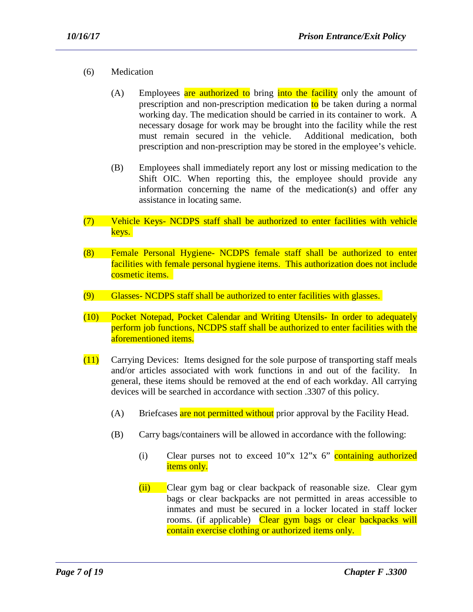- (6) Medication
	- (A) Employees are authorized to bring into the facility only the amount of prescription and non-prescription medication  $\mathbf{to}$  be taken during a normal working day. The medication should be carried in its container to work. A necessary dosage for work may be brought into the facility while the rest must remain secured in the vehicle. Additional medication, both prescription and non-prescription may be stored in the employee's vehicle.
	- (B) Employees shall immediately report any lost or missing medication to the Shift OIC. When reporting this, the employee should provide any information concerning the name of the medication(s) and offer any assistance in locating same.
- (7) Vehicle Keys- NCDPS staff shall be authorized to enter facilities with vehicle keys.
- (8) Female Personal Hygiene- NCDPS female staff shall be authorized to enter facilities with female personal hygiene items. This authorization does not include cosmetic items.
- (9) Glasses- NCDPS staff shall be authorized to enter facilities with glasses.
- (10) Pocket Notepad, Pocket Calendar and Writing Utensils- In order to adequately perform job functions, NCDPS staff shall be authorized to enter facilities with the aforementioned items.
- (11) Carrying Devices: Items designed for the sole purpose of transporting staff meals and/or articles associated with work functions in and out of the facility. In general, these items should be removed at the end of each workday. All carrying devices will be searched in accordance with section .3307 of this policy.
	- (A) Briefcases are not permitted without prior approval by the Facility Head.
	- (B) Carry bags/containers will be allowed in accordance with the following:

- (i) Clear purses not to exceed  $10^{\circ}x$   $12^{\circ}x$  6<sup>o</sup> containing authorized items only.
- (ii) Clear gym bag or clear backpack of reasonable size. Clear gym bags or clear backpacks are not permitted in areas accessible to inmates and must be secured in a locker located in staff locker rooms. (if applicable) Clear gym bags or clear backpacks will contain exercise clothing or authorized items only.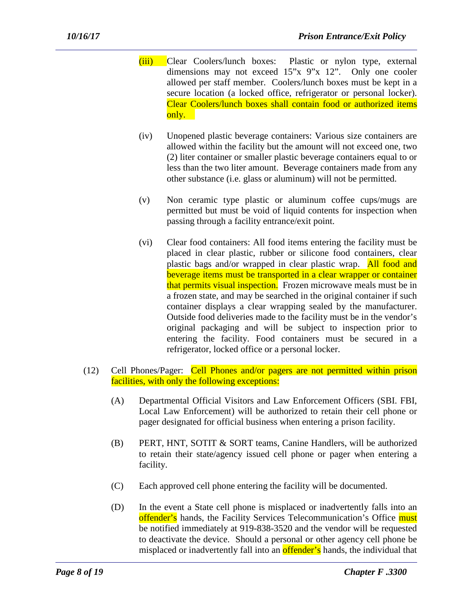- (iii) Clear Coolers/lunch boxes: Plastic or nylon type, external dimensions may not exceed 15"x 9"x 12". Only one cooler allowed per staff member. Coolers/lunch boxes must be kept in a secure location (a locked office, refrigerator or personal locker). Clear Coolers/lunch boxes shall contain food or authorized items only.
- (iv) Unopened plastic beverage containers: Various size containers are allowed within the facility but the amount will not exceed one, two (2) liter container or smaller plastic beverage containers equal to or less than the two liter amount. Beverage containers made from any other substance (i.e. glass or aluminum) will not be permitted.
- (v) Non ceramic type plastic or aluminum coffee cups/mugs are permitted but must be void of liquid contents for inspection when passing through a facility entrance/exit point.
- (vi) Clear food containers: All food items entering the facility must be placed in clear plastic, rubber or silicone food containers, clear plastic bags and/or wrapped in clear plastic wrap. All food and beverage items must be transported in a clear wrapper or container that permits visual inspection. Frozen microwave meals must be in a frozen state, and may be searched in the original container if such container displays a clear wrapping sealed by the manufacturer. Outside food deliveries made to the facility must be in the vendor's original packaging and will be subject to inspection prior to entering the facility. Food containers must be secured in a refrigerator, locked office or a personal locker.
- (12) Cell Phones/Pager: Cell Phones and/or pagers are not permitted within prison facilities, with only the following exceptions:
	- (A) Departmental Official Visitors and Law Enforcement Officers (SBI. FBI, Local Law Enforcement) will be authorized to retain their cell phone or pager designated for official business when entering a prison facility.
	- (B) PERT, HNT, SOTIT & SORT teams, Canine Handlers, will be authorized to retain their state/agency issued cell phone or pager when entering a facility.
	- (C) Each approved cell phone entering the facility will be documented.

(D) In the event a State cell phone is misplaced or inadvertently falls into an offender's hands, the Facility Services Telecommunication's Office must be notified immediately at 919-838-3520 and the vendor will be requested to deactivate the device. Should a personal or other agency cell phone be misplaced or inadvertently fall into an **offender's** hands, the individual that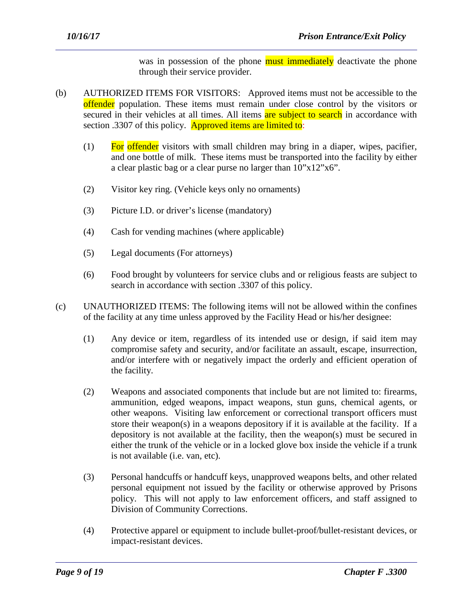was in possession of the phone must immediately deactivate the phone through their service provider.

- (b) AUTHORIZED ITEMS FOR VISITORS: Approved items must not be accessible to the offender population. These items must remain under close control by the visitors or secured in their vehicles at all times. All items are subject to search in accordance with section .3307 of this policy. Approved items are limited to:
	- $(1)$  For offender visitors with small children may bring in a diaper, wipes, pacifier, and one bottle of milk. These items must be transported into the facility by either a clear plastic bag or a clear purse no larger than 10"x12"x6".
	- (2) Visitor key ring. (Vehicle keys only no ornaments)
	- (3) Picture I.D. or driver's license (mandatory)
	- (4) Cash for vending machines (where applicable)
	- (5) Legal documents (For attorneys)
	- (6) Food brought by volunteers for service clubs and or religious feasts are subject to search in accordance with section .3307 of this policy.
- (c) UNAUTHORIZED ITEMS: The following items will not be allowed within the confines of the facility at any time unless approved by the Facility Head or his/her designee:
	- (1) Any device or item, regardless of its intended use or design, if said item may compromise safety and security, and/or facilitate an assault, escape, insurrection, and/or interfere with or negatively impact the orderly and efficient operation of the facility.
	- (2) Weapons and associated components that include but are not limited to: firearms, ammunition, edged weapons, impact weapons, stun guns, chemical agents, or other weapons. Visiting law enforcement or correctional transport officers must store their weapon(s) in a weapons depository if it is available at the facility. If a depository is not available at the facility, then the weapon(s) must be secured in either the trunk of the vehicle or in a locked glove box inside the vehicle if a trunk is not available (i.e. van, etc).
	- (3) Personal handcuffs or handcuff keys, unapproved weapons belts, and other related personal equipment not issued by the facility or otherwise approved by Prisons policy. This will not apply to law enforcement officers, and staff assigned to Division of Community Corrections.
	- (4) Protective apparel or equipment to include bullet-proof/bullet-resistant devices, or impact-resistant devices.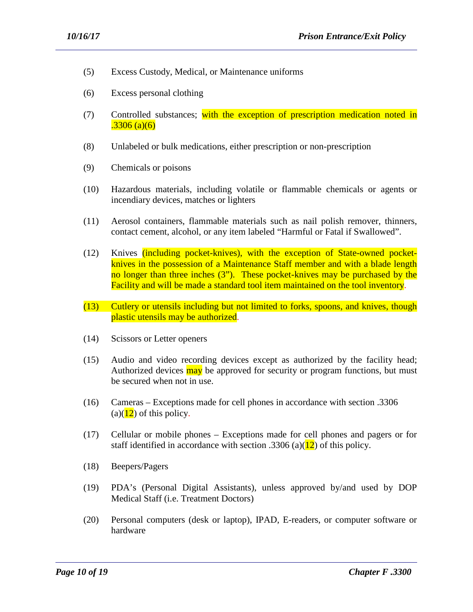- (5) Excess Custody, Medical, or Maintenance uniforms
- (6) Excess personal clothing
- (7) Controlled substances; with the exception of prescription medication noted in  $.3306$  (a)(6)
- (8) Unlabeled or bulk medications, either prescription or non-prescription
- (9) Chemicals or poisons
- (10) Hazardous materials, including volatile or flammable chemicals or agents or incendiary devices, matches or lighters
- (11) Aerosol containers, flammable materials such as nail polish remover, thinners, contact cement, alcohol, or any item labeled "Harmful or Fatal if Swallowed".
- (12) Knives (including pocket-knives), with the exception of State-owned pocketknives in the possession of a Maintenance Staff member and with a blade length no longer than three inches (3"). These pocket-knives may be purchased by the Facility and will be made a standard tool item maintained on the tool inventory.
- (13) Cutlery or utensils including but not limited to forks, spoons, and knives, though plastic utensils may be authorized.
- (14) Scissors or Letter openers
- (15) Audio and video recording devices except as authorized by the facility head; Authorized devices may be approved for security or program functions, but must be secured when not in use.
- (16) Cameras Exceptions made for cell phones in accordance with section .3306  $(a)(12)$  of this policy.
- (17) Cellular or mobile phones Exceptions made for cell phones and pagers or for staff identified in accordance with section .3306 (a)( $\frac{12}{2}$ ) of this policy.
- (18) Beepers/Pagers
- (19) PDA's (Personal Digital Assistants), unless approved by/and used by DOP Medical Staff (i.e. Treatment Doctors)
- (20) Personal computers (desk or laptop), IPAD, E-readers, or computer software or hardware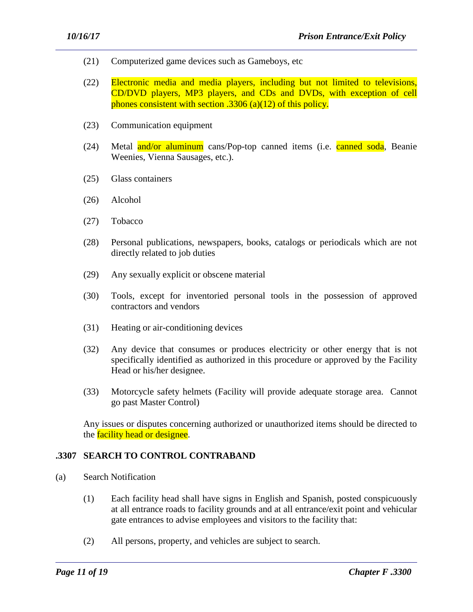- (21) Computerized game devices such as Gameboys, etc
- (22) Electronic media and media players, including but not limited to televisions, CD/DVD players, MP3 players, and CDs and DVDs, with exception of cell phones consistent with section .3306 (a)(12) of this policy.
- (23) Communication equipment
- (24) Metal and/or aluminum cans/Pop-top canned items (i.e. canned soda, Beanie Weenies, Vienna Sausages, etc.).
- (25) Glass containers
- (26) Alcohol
- (27) Tobacco
- (28) Personal publications, newspapers, books, catalogs or periodicals which are not directly related to job duties
- (29) Any sexually explicit or obscene material
- (30) Tools, except for inventoried personal tools in the possession of approved contractors and vendors
- (31) Heating or air-conditioning devices
- (32) Any device that consumes or produces electricity or other energy that is not specifically identified as authorized in this procedure or approved by the Facility Head or his/her designee.
- (33) Motorcycle safety helmets (Facility will provide adequate storage area. Cannot go past Master Control)

Any issues or disputes concerning authorized or unauthorized items should be directed to the **facility head or designee**.

#### **.3307 SEARCH TO CONTROL CONTRABAND**

- (a) Search Notification
	- (1) Each facility head shall have signs in English and Spanish, posted conspicuously at all entrance roads to facility grounds and at all entrance/exit point and vehicular gate entrances to advise employees and visitors to the facility that:
	- (2) All persons, property, and vehicles are subject to search.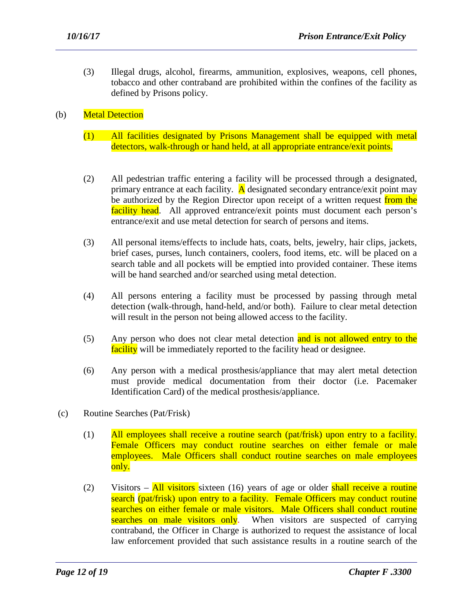(3) Illegal drugs, alcohol, firearms, ammunition, explosives, weapons, cell phones, tobacco and other contraband are prohibited within the confines of the facility as defined by Prisons policy.

# (b) Metal Detection

- (1) All facilities designated by Prisons Management shall be equipped with metal detectors, walk-through or hand held, at all appropriate entrance/exit points.
- (2) All pedestrian traffic entering a facility will be processed through a designated, primary entrance at each facility.  $\overline{A}$  designated secondary entrance/exit point may be authorized by the Region Director upon receipt of a written request from the facility head. All approved entrance/exit points must document each person's entrance/exit and use metal detection for search of persons and items.
- (3) All personal items/effects to include hats, coats, belts, jewelry, hair clips, jackets, brief cases, purses, lunch containers, coolers, food items, etc. will be placed on a search table and all pockets will be emptied into provided container. These items will be hand searched and/or searched using metal detection.
- (4) All persons entering a facility must be processed by passing through metal detection (walk-through, hand-held, and/or both). Failure to clear metal detection will result in the person not being allowed access to the facility.
- (5) Any person who does not clear metal detection and is not allowed entry to the facility will be immediately reported to the facility head or designee.
- (6) Any person with a medical prosthesis/appliance that may alert metal detection must provide medical documentation from their doctor (i.e. Pacemaker Identification Card) of the medical prosthesis/appliance.
- (c) Routine Searches (Pat/Frisk)
	- (1) All employees shall receive a routine search (pat/frisk) upon entry to a facility. Female Officers may conduct routine searches on either female or male employees. Male Officers shall conduct routine searches on male employees only.
	- (2) Visitors  $\frac{\text{All visitors}}{\text{six}}$  sixteen (16) years of age or older shall receive a routine search (pat/frisk) upon entry to a facility. Female Officers may conduct routine searches on either female or male visitors. Male Officers shall conduct routine searches on male visitors only. When visitors are suspected of carrying contraband, the Officer in Charge is authorized to request the assistance of local law enforcement provided that such assistance results in a routine search of the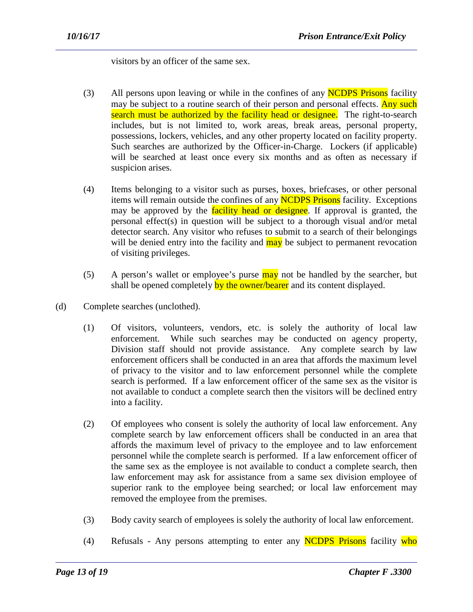visitors by an officer of the same sex.

- (3) All persons upon leaving or while in the confines of any **NCDPS Prisons** facility may be subject to a routine search of their person and personal effects. Any such search must be authorized by the facility head or designee. The right-to-search includes, but is not limited to, work areas, break areas, personal property, possessions, lockers, vehicles, and any other property located on facility property. Such searches are authorized by the Officer-in-Charge. Lockers (if applicable) will be searched at least once every six months and as often as necessary if suspicion arises.
- (4) Items belonging to a visitor such as purses, boxes, briefcases, or other personal items will remain outside the confines of any **NCDPS Prisons** facility. Exceptions may be approved by the facility head or designee. If approval is granted, the personal effect(s) in question will be subject to a thorough visual and/or metal detector search. Any visitor who refuses to submit to a search of their belongings will be denied entry into the facility and may be subject to permanent revocation of visiting privileges.
- (5) A person's wallet or employee's purse  $\frac{may}{day}$  not be handled by the searcher, but shall be opened completely by the owner/bearer and its content displayed.
- (d) Complete searches (unclothed).
	- (1) Of visitors, volunteers, vendors, etc. is solely the authority of local law enforcement. While such searches may be conducted on agency property, Division staff should not provide assistance. Any complete search by law enforcement officers shall be conducted in an area that affords the maximum level of privacy to the visitor and to law enforcement personnel while the complete search is performed. If a law enforcement officer of the same sex as the visitor is not available to conduct a complete search then the visitors will be declined entry into a facility.
	- (2) Of employees who consent is solely the authority of local law enforcement. Any complete search by law enforcement officers shall be conducted in an area that affords the maximum level of privacy to the employee and to law enforcement personnel while the complete search is performed. If a law enforcement officer of the same sex as the employee is not available to conduct a complete search, then law enforcement may ask for assistance from a same sex division employee of superior rank to the employee being searched; or local law enforcement may removed the employee from the premises.
	- (3) Body cavity search of employees is solely the authority of local law enforcement.
	- (4) Refusals Any persons attempting to enter any NCDPS Prisons facility who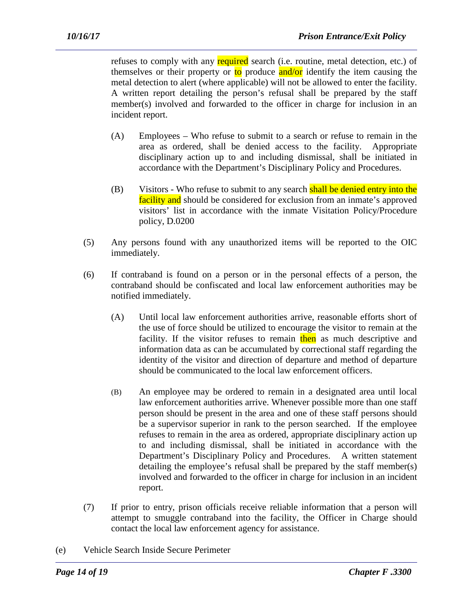refuses to comply with any required search (i.e. routine, metal detection, etc.) of themselves or their property or  $\frac{1}{10}$  produce and/or identify the item causing the metal detection to alert (where applicable) will not be allowed to enter the facility. A written report detailing the person's refusal shall be prepared by the staff member(s) involved and forwarded to the officer in charge for inclusion in an incident report.

- (A) Employees Who refuse to submit to a search or refuse to remain in the area as ordered, shall be denied access to the facility. Appropriate disciplinary action up to and including dismissal, shall be initiated in accordance with the Department's Disciplinary Policy and Procedures.
- (B) Visitors Who refuse to submit to any search shall be denied entry into the facility and should be considered for exclusion from an inmate's approved visitors' list in accordance with the inmate Visitation Policy/Procedure policy, D.0200
- (5) Any persons found with any unauthorized items will be reported to the OIC immediately.
- (6) If contraband is found on a person or in the personal effects of a person, the contraband should be confiscated and local law enforcement authorities may be notified immediately.
	- (A) Until local law enforcement authorities arrive, reasonable efforts short of the use of force should be utilized to encourage the visitor to remain at the facility. If the visitor refuses to remain then as much descriptive and information data as can be accumulated by correctional staff regarding the identity of the visitor and direction of departure and method of departure should be communicated to the local law enforcement officers.
	- (B) An employee may be ordered to remain in a designated area until local law enforcement authorities arrive. Whenever possible more than one staff person should be present in the area and one of these staff persons should be a supervisor superior in rank to the person searched. If the employee refuses to remain in the area as ordered, appropriate disciplinary action up to and including dismissal, shall be initiated in accordance with the Department's Disciplinary Policy and Procedures. A written statement detailing the employee's refusal shall be prepared by the staff member(s) involved and forwarded to the officer in charge for inclusion in an incident report.
- (7) If prior to entry, prison officials receive reliable information that a person will attempt to smuggle contraband into the facility, the Officer in Charge should contact the local law enforcement agency for assistance.

(e) Vehicle Search Inside Secure Perimeter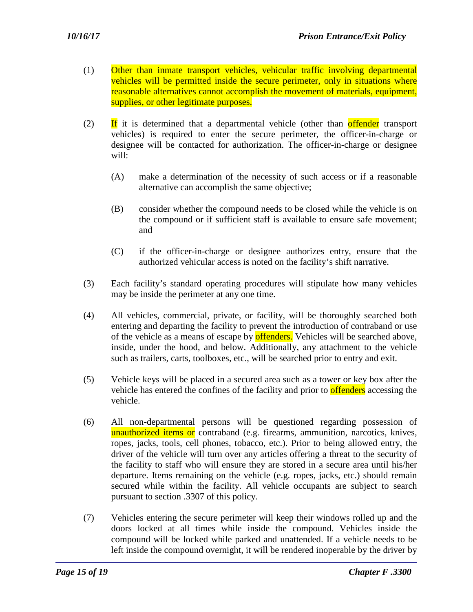- (1) Other than inmate transport vehicles, vehicular traffic involving departmental vehicles will be permitted inside the secure perimeter, only in situations where reasonable alternatives cannot accomplish the movement of materials, equipment, supplies, or other legitimate purposes.
- (2) If it is determined that a departmental vehicle (other than offender transport vehicles) is required to enter the secure perimeter, the officer-in-charge or designee will be contacted for authorization. The officer-in-charge or designee will:
	- (A) make a determination of the necessity of such access or if a reasonable alternative can accomplish the same objective;
	- (B) consider whether the compound needs to be closed while the vehicle is on the compound or if sufficient staff is available to ensure safe movement; and
	- (C) if the officer-in-charge or designee authorizes entry, ensure that the authorized vehicular access is noted on the facility's shift narrative.
- (3) Each facility's standard operating procedures will stipulate how many vehicles may be inside the perimeter at any one time.
- (4) All vehicles, commercial, private, or facility, will be thoroughly searched both entering and departing the facility to prevent the introduction of contraband or use of the vehicle as a means of escape by **offenders**. Vehicles will be searched above, inside, under the hood, and below. Additionally, any attachment to the vehicle such as trailers, carts, toolboxes, etc., will be searched prior to entry and exit.
- (5) Vehicle keys will be placed in a secured area such as a tower or key box after the vehicle has entered the confines of the facility and prior to **offenders** accessing the vehicle.
- (6) All non-departmental persons will be questioned regarding possession of unauthorized items or contraband (e.g. firearms, ammunition, narcotics, knives, ropes, jacks, tools, cell phones, tobacco, etc.). Prior to being allowed entry, the driver of the vehicle will turn over any articles offering a threat to the security of the facility to staff who will ensure they are stored in a secure area until his/her departure. Items remaining on the vehicle (e.g. ropes, jacks, etc.) should remain secured while within the facility. All vehicle occupants are subject to search pursuant to section .3307 of this policy.
- (7) Vehicles entering the secure perimeter will keep their windows rolled up and the doors locked at all times while inside the compound. Vehicles inside the compound will be locked while parked and unattended. If a vehicle needs to be left inside the compound overnight, it will be rendered inoperable by the driver by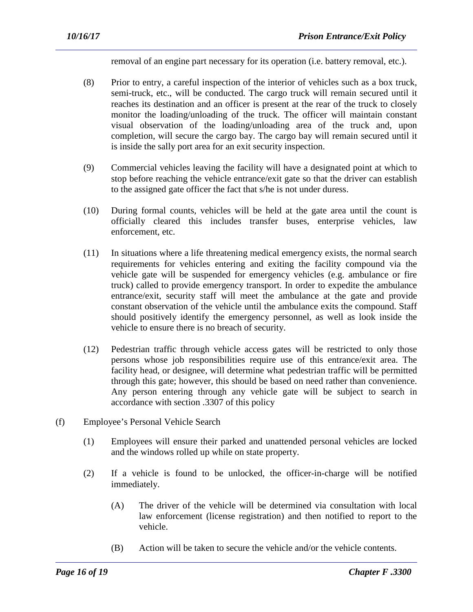removal of an engine part necessary for its operation (i.e. battery removal, etc.).

- (8) Prior to entry, a careful inspection of the interior of vehicles such as a box truck, semi-truck, etc., will be conducted. The cargo truck will remain secured until it reaches its destination and an officer is present at the rear of the truck to closely monitor the loading/unloading of the truck. The officer will maintain constant visual observation of the loading/unloading area of the truck and, upon completion, will secure the cargo bay. The cargo bay will remain secured until it is inside the sally port area for an exit security inspection.
- (9) Commercial vehicles leaving the facility will have a designated point at which to stop before reaching the vehicle entrance/exit gate so that the driver can establish to the assigned gate officer the fact that s/he is not under duress.
- (10) During formal counts, vehicles will be held at the gate area until the count is officially cleared this includes transfer buses, enterprise vehicles, law enforcement, etc.
- (11) In situations where a life threatening medical emergency exists, the normal search requirements for vehicles entering and exiting the facility compound via the vehicle gate will be suspended for emergency vehicles (e.g. ambulance or fire truck) called to provide emergency transport. In order to expedite the ambulance entrance/exit, security staff will meet the ambulance at the gate and provide constant observation of the vehicle until the ambulance exits the compound. Staff should positively identify the emergency personnel, as well as look inside the vehicle to ensure there is no breach of security.
- (12) Pedestrian traffic through vehicle access gates will be restricted to only those persons whose job responsibilities require use of this entrance/exit area. The facility head, or designee, will determine what pedestrian traffic will be permitted through this gate; however, this should be based on need rather than convenience. Any person entering through any vehicle gate will be subject to search in accordance with section .3307 of this policy
- (f) Employee's Personal Vehicle Search
	- (1) Employees will ensure their parked and unattended personal vehicles are locked and the windows rolled up while on state property.
	- (2) If a vehicle is found to be unlocked, the officer-in-charge will be notified immediately.
		- (A) The driver of the vehicle will be determined via consultation with local law enforcement (license registration) and then notified to report to the vehicle.
		- (B) Action will be taken to secure the vehicle and/or the vehicle contents.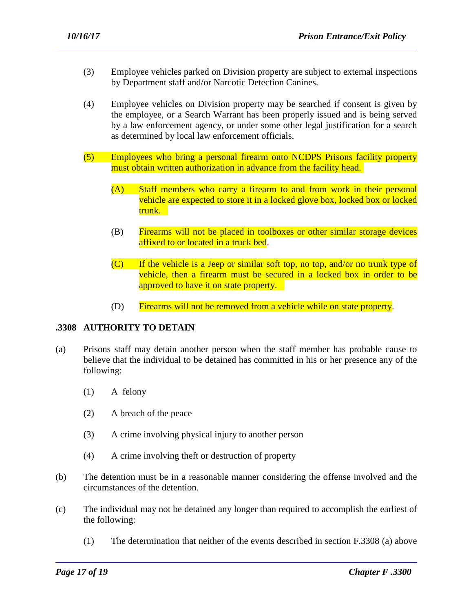- (3) Employee vehicles parked on Division property are subject to external inspections by Department staff and/or Narcotic Detection Canines.
- (4) Employee vehicles on Division property may be searched if consent is given by the employee, or a Search Warrant has been properly issued and is being served by a law enforcement agency, or under some other legal justification for a search as determined by local law enforcement officials.
- (5) Employees who bring a personal firearm onto NCDPS Prisons facility property must obtain written authorization in advance from the facility head.
	- (A) Staff members who carry a firearm to and from work in their personal vehicle are expected to store it in a locked glove box, locked box or locked trunk.
	- (B) Firearms will not be placed in toolboxes or other similar storage devices affixed to or located in a truck bed.
	- $(C)$  If the vehicle is a Jeep or similar soft top, no top, and/or no trunk type of vehicle, then a firearm must be secured in a locked box in order to be approved to have it on state property.
	- (D) Firearms will not be removed from a vehicle while on state property.

#### **.3308 AUTHORITY TO DETAIN**

- (a) Prisons staff may detain another person when the staff member has probable cause to believe that the individual to be detained has committed in his or her presence any of the following:
	- (1) A felony
	- (2) A breach of the peace
	- (3) A crime involving physical injury to another person
	- (4) A crime involving theft or destruction of property
- (b) The detention must be in a reasonable manner considering the offense involved and the circumstances of the detention.
- (c) The individual may not be detained any longer than required to accomplish the earliest of the following:

(1) The determination that neither of the events described in section F.3308 (a) above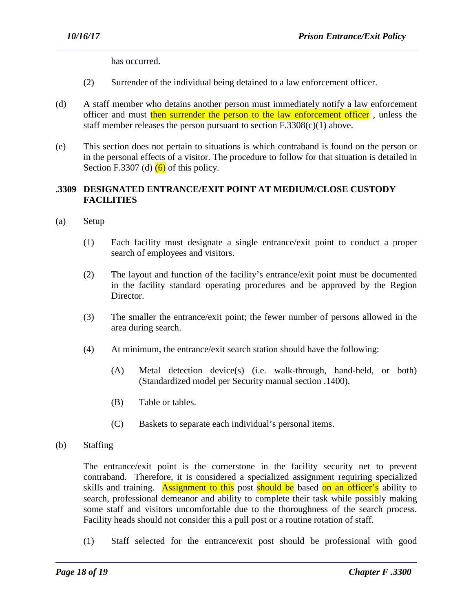has occurred.

- (2) Surrender of the individual being detained to a law enforcement officer.
- (d) A staff member who detains another person must immediately notify a law enforcement officer and must then surrender the person to the law enforcement officer, unless the staff member releases the person pursuant to section  $F.3308(c)(1)$  above.
- (e) This section does not pertain to situations is which contraband is found on the person or in the personal effects of a visitor. The procedure to follow for that situation is detailed in Section F.3307 (d)  $(6)$  of this policy.

# **.3309 DESIGNATED ENTRANCE/EXIT POINT AT MEDIUM/CLOSE CUSTODY FACILITIES**

- (a) Setup
	- (1) Each facility must designate a single entrance/exit point to conduct a proper search of employees and visitors.
	- (2) The layout and function of the facility's entrance/exit point must be documented in the facility standard operating procedures and be approved by the Region Director.
	- (3) The smaller the entrance/exit point; the fewer number of persons allowed in the area during search.
	- (4) At minimum, the entrance/exit search station should have the following:
		- (A) Metal detection device(s) (i.e. walk-through, hand-held, or both) (Standardized model per Security manual section .1400).
		- (B) Table or tables.
		- (C) Baskets to separate each individual's personal items.

(b) Staffing

The entrance/exit point is the cornerstone in the facility security net to prevent contraband. Therefore, it is considered a specialized assignment requiring specialized skills and training. Assignment to this post should be based on an officer's ability to search, professional demeanor and ability to complete their task while possibly making some staff and visitors uncomfortable due to the thoroughness of the search process. Facility heads should not consider this a pull post or a routine rotation of staff.

(1) Staff selected for the entrance/exit post should be professional with good